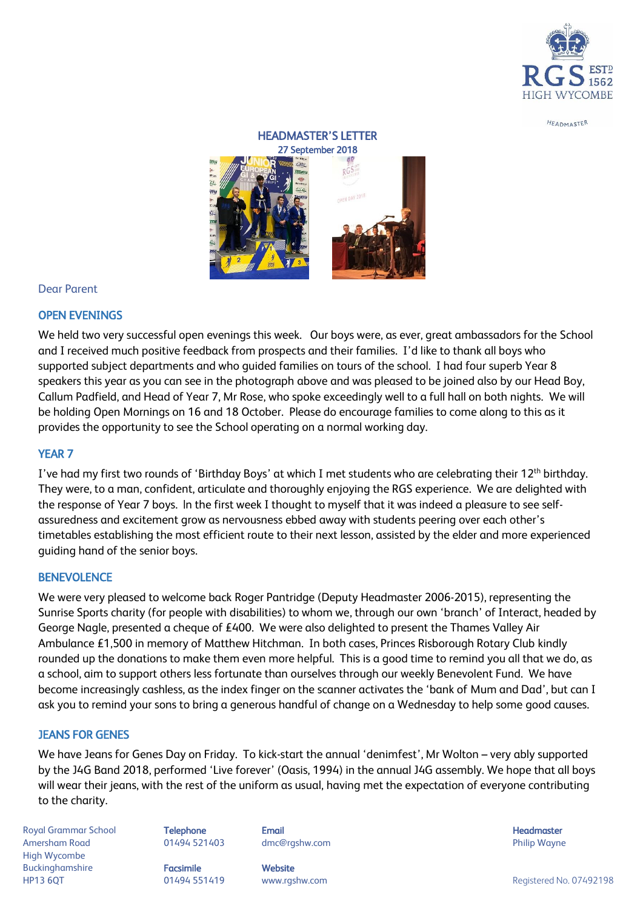

HEADMASTER

# HEADMASTER'S LETTER 27 September 2018



## Dear Parent

## OPEN EVENINGS

We held two very successful open evenings this week. Our boys were, as ever, great ambassadors for the School and I received much positive feedback from prospects and their families. I'd like to thank all boys who supported subject departments and who guided families on tours of the school. I had four superb Year 8 speakers this year as you can see in the photograph above and was pleased to be joined also by our Head Boy, Callum Padfield, and Head of Year 7, Mr Rose, who spoke exceedingly well to a full hall on both nights. We will be holding Open Mornings on 16 and 18 October. Please do encourage families to come along to this as it provides the opportunity to see the School operating on a normal working day.

## YEAR 7

I've had my first two rounds of 'Birthday Boys' at which I met students who are celebrating their 12<sup>th</sup> birthday. They were, to a man, confident, articulate and thoroughly enjoying the RGS experience. We are delighted with the response of Year 7 boys. In the first week I thought to myself that it was indeed a pleasure to see selfassuredness and excitement grow as nervousness ebbed away with students peering over each other's timetables establishing the most efficient route to their next lesson, assisted by the elder and more experienced guiding hand of the senior boys.

## **BENEVOLENCE**

We were very pleased to welcome back Roger Pantridge (Deputy Headmaster 2006-2015), representing the Sunrise Sports charity (for people with disabilities) to whom we, through our own 'branch' of Interact, headed by George Nagle, presented a cheque of £400. We were also delighted to present the Thames Valley Air Ambulance £1,500 in memory of Matthew Hitchman. In both cases, Princes Risborough Rotary Club kindly rounded up the donations to make them even more helpful. This is a good time to remind you all that we do, as a school, aim to support others less fortunate than ourselves through our weekly Benevolent Fund. We have become increasingly cashless, as the index finger on the scanner activates the 'bank of Mum and Dad', but can I ask you to remind your sons to bring a generous handful of change on a Wednesday to help some good causes.

## JEANS FOR GENES

We have Jeans for Genes Day on Friday. To kick-start the annual 'denimfest', Mr Wolton – very ably supported by the J4G Band 2018, performed 'Live forever' (Oasis, 1994) in the annual J4G assembly. We hope that all boys will wear their jeans, with the rest of the uniform as usual, having met the expectation of everyone contributing to the charity.

Royal Grammar School **Telephone Email Headmaster Email Headmaster Headmaster Headmaster** Amersham Road 01494 521403 dmc@rgshw.com Philip Wayne High Wycombe Buckinghamshire **Facsimile Website**